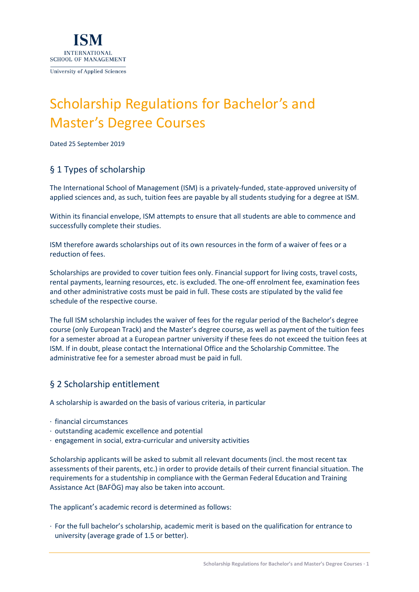

# Scholarship Regulations for Bachelor's and Master's Degree Courses

Dated 25 September 2019

# § 1 Types of scholarship

The International School of Management (ISM) is a privately-funded, state-approved university of applied sciences and, as such, tuition fees are payable by all students studying for a degree at ISM.

Within its financial envelope, ISM attempts to ensure that all students are able to commence and successfully complete their studies.

ISM therefore awards scholarships out of its own resources in the form of a waiver of fees or a reduction of fees.

Scholarships are provided to cover tuition fees only. Financial support for living costs, travel costs, rental payments, learning resources, etc. is excluded. The one-off enrolment fee, examination fees and other administrative costs must be paid in full. These costs are stipulated by the valid fee schedule of the respective course.

The full ISM scholarship includes the waiver of fees for the regular period of the Bachelor's degree course (only European Track) and the Master's degree course, as well as payment of the tuition fees for a semester abroad at a European partner university if these fees do not exceed the tuition fees at ISM. If in doubt, please contact the International Office and the Scholarship Committee. The administrative fee for a semester abroad must be paid in full.

# § 2 Scholarship entitlement

A scholarship is awarded on the basis of various criteria, in particular

- · financial circumstances
- · outstanding academic excellence and potential
- · engagement in social, extra-curricular and university activities

Scholarship applicants will be asked to submit all relevant documents (incl. the most recent tax assessments of their parents, etc.) in order to provide details of their current financial situation. The requirements for a studentship in compliance with the German Federal Education and Training Assistance Act (BAFÖG) may also be taken into account.

The applicant's academic record is determined as follows:

· For the full bachelor's scholarship, academic merit is based on the qualification for entrance to university (average grade of 1.5 or better).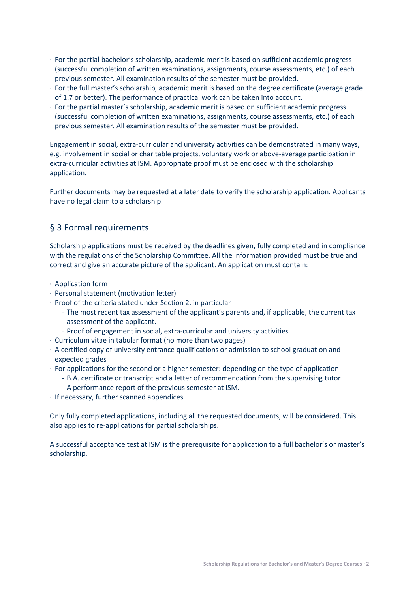- · For the partial bachelor's scholarship, academic merit is based on sufficient academic progress (successful completion of written examinations, assignments, course assessments, etc.) of each previous semester. All examination results of the semester must be provided.
- · For the full master's scholarship, academic merit is based on the degree certificate (average grade of 1.7 or better). The performance of practical work can be taken into account.
- · For the partial master's scholarship, academic merit is based on sufficient academic progress (successful completion of written examinations, assignments, course assessments, etc.) of each previous semester. All examination results of the semester must be provided.

Engagement in social, extra-curricular and university activities can be demonstrated in many ways, e.g. involvement in social or charitable projects, voluntary work or above-average participation in extra-curricular activities at ISM. Appropriate proof must be enclosed with the scholarship application.

Further documents may be requested at a later date to verify the scholarship application. Applicants have no legal claim to a scholarship.

## § 3 Formal requirements

Scholarship applications must be received by the deadlines given, fully completed and in compliance with the regulations of the Scholarship Committee. All the information provided must be true and correct and give an accurate picture of the applicant. An application must contain:

- · Application form
- · Personal statement (motivation letter)
- · Proof of the criteria stated under Section 2, in particular
	- The most recent tax assessment of the applicant's parents and, if applicable, the current tax assessment of the applicant.
	- ˗ Proof of engagement in social, extra-curricular and university activities
- · Curriculum vitae in tabular format (no more than two pages)
- · A certified copy of university entrance qualifications or admission to school graduation and expected grades
- · For applications for the second or a higher semester: depending on the type of application
	- ˗ B.A. certificate or transcript and a letter of recommendation from the supervising tutor
	- ˗ A performance report of the previous semester at ISM.
- · If necessary, further scanned appendices

Only fully completed applications, including all the requested documents, will be considered. This also applies to re-applications for partial scholarships.

A successful acceptance test at ISM is the prerequisite for application to a full bachelor's or master's scholarship.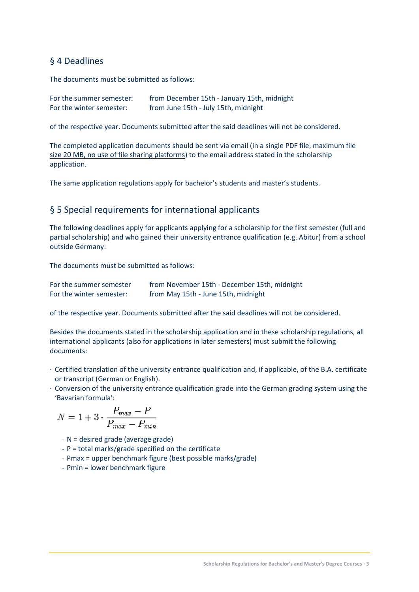#### § 4 Deadlines

The documents must be submitted as follows:

| For the summer semester: | from December 15th - January 15th, midnight |
|--------------------------|---------------------------------------------|
| For the winter semester: | from June 15th - July 15th, midnight        |

of the respective year. Documents submitted after the said deadlines will not be considered.

The completed application documents should be sent via email (in a single PDF file, maximum file size 20 MB, no use of file sharing platforms) to the email address stated in the scholarship application.

The same application regulations apply for bachelor's students and master's students.

#### § 5 Special requirements for international applicants

The following deadlines apply for applicants applying for a scholarship for the first semester (full and partial scholarship) and who gained their university entrance qualification (e.g. Abitur) from a school outside Germany:

The documents must be submitted as follows:

| For the summer semester  | from November 15th - December 15th, midnight |
|--------------------------|----------------------------------------------|
| For the winter semester: | from May 15th - June 15th, midnight          |

of the respective year. Documents submitted after the said deadlines will not be considered.

Besides the documents stated in the scholarship application and in these scholarship regulations, all international applicants (also for applications in later semesters) must submit the following documents:

- · Certified translation of the university entrance qualification and, if applicable, of the B.A. certificate or transcript (German or English).
- · Conversion of the university entrance qualification grade into the German grading system using the 'Bavarian formula':

$$
N = 1 + 3 \cdot \frac{P_{max} - P}{P_{max} - P_{min}}
$$

- $-N =$  desired grade (average grade)
- ˗ P = total marks/grade specified on the certificate
- ˗ Pmax = upper benchmark figure (best possible marks/grade)
- ˗ Pmin = lower benchmark figure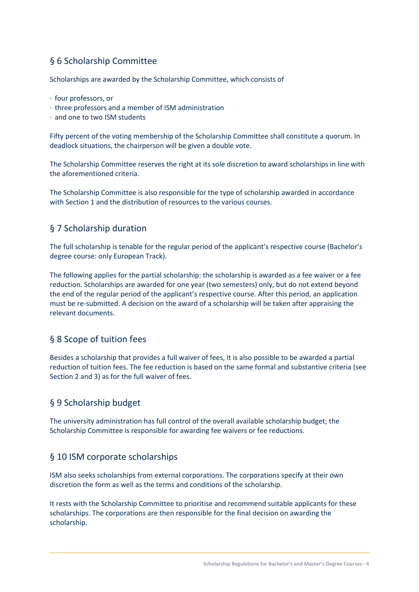# § 6 Scholarship Committee

Scholarships are awarded by the Scholarship Committee, which consists of

- · four professors, or
- · three professors and a member of ISM administration
- · and one to two ISM students

Fifty percent of the voting membership of the Scholarship Committee shall constitute a quorum. In deadlock situations, the chairperson will be given a double vote.

The Scholarship Committee reserves the right at its sole discretion to award scholarships in line with the aforementioned criteria.

The Scholarship Committee is also responsible for the type of scholarship awarded in accordance with Section 1 and the distribution of resources to the various courses.

## § 7 Scholarship duration

The full scholarship is tenable for the regular period of the applicant's respective course (Bachelor's degree course: only European Track).

The following applies for the partial scholarship: the scholarship is awarded as a fee waiver or a fee reduction. Scholarships are awarded for one year (two semesters) only, but do not extend beyond the end of the regular period of the applicant's respective course. After this period, an application must be re-submitted. A decision on the award of a scholarship will be taken after appraising the relevant documents.

# § 8 Scope of tuition fees

Besides a scholarship that provides a full waiver of fees, it is also possible to be awarded a partial reduction of tuition fees. The fee reduction is based on the same formal and substantive criteria (see Section 2 and 3) as for the full waiver of fees.

#### § 9 Scholarship budget

The university administration has full control of the overall available scholarship budget; the Scholarship Committee is responsible for awarding fee waivers or fee reductions.

#### § 10 ISM corporate scholarships

ISM also seeks scholarships from external corporations. The corporations specify at their own discretion the form as well as the terms and conditions of the scholarship.

It rests with the Scholarship Committee to prioritise and recommend suitable applicants for these scholarships. The corporations are then responsible for the final decision on awarding the scholarship.